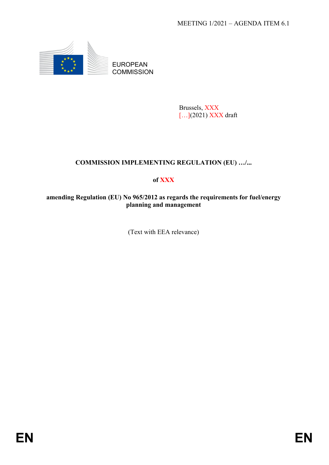

EUROPEAN **COMMISSION** 

> Brussels, XXX [...](2021) XXX draft

# **COMMISSION IMPLEMENTING REGULATION (EU) …/...**

## **of XXX**

### **amending Regulation (EU) No 965/2012 as regards the requirements for fuel/energy planning and management**

(Text with EEA relevance)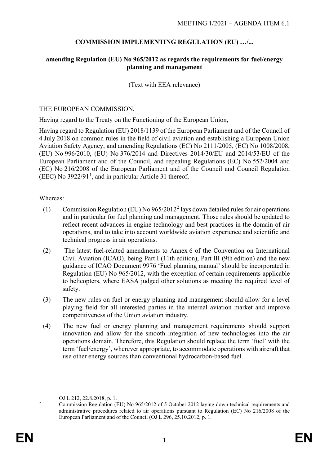### **COMMISSION IMPLEMENTING REGULATION (EU) …/...**

#### **amending Regulation (EU) No 965/2012 as regards the requirements for fuel/energy planning and management**

(Text with EEA relevance)

#### THE EUROPEAN COMMISSION,

Having regard to the Treaty on the Functioning of the European Union,

Having regard to Regulation (EU) 2018/1139 of the European Parliament and of the Council of 4 July 2018 on common rules in the field of civil aviation and establishing a European Union Aviation Safety Agency, and amending Regulations (EC) No 2111/2005, (EC) No 1008/2008, (EU) No 996/2010, (EU) No 376/2014 and Directives 2014/30/EU and 2014/53/EU of the European Parliament and of the Council, and repealing Regulations (EC) No 552/2004 and (EC) No 216/2008 of the European Parliament and of the Council and Council Regulation (EEC) No  $3922/91<sup>1</sup>$  $3922/91<sup>1</sup>$  $3922/91<sup>1</sup>$ , and in particular Article 31 thereof,

#### Whereas:

- (1) Commission Regulation (EU) No  $965/2012^2$  $965/2012^2$  $965/2012^2$  lays down detailed rules for air operations and in particular for fuel planning and management. Those rules should be updated to reflect recent advances in engine technology and best practices in the domain of air operations, and to take into account worldwide aviation experience and scientific and technical progress in air operations.
- (2) The latest fuel-related amendments to Annex 6 of the Convention on International Civil Aviation (ICAO), being Part I (11th edition), Part III (9th edition) and the new guidance of ICAO Document 9976 'Fuel planning manual' should be incorporated in Regulation (EU) No 965/2012, with the exception of certain requirements applicable to helicopters, where EASA judged other solutions as meeting the required level of safety.
- (3) The new rules on fuel or energy planning and management should allow for a level playing field for all interested parties in the internal aviation market and improve competitiveness of the Union aviation industry.
- (4) The new fuel or energy planning and management requirements should support innovation and allow for the smooth integration of new technologies into the air operations domain. Therefore, this Regulation should replace the term 'fuel' with the term 'fuel/energy', wherever appropriate, to accommodate operations with aircraft that use other energy sources than conventional hydrocarbon-based fuel.

<span id="page-1-1"></span><span id="page-1-0"></span><sup>1</sup> OJ L 212, 22.8.2018, p. 1.

<sup>2</sup> Commission Regulation (EU) No 965/2012 of 5 October 2012 laying down technical requirements and administrative procedures related to air operations pursuant to Regulation (EC) No 216/2008 of the European Parliament and of the Council (OJ L 296, 25.10.2012, p. 1.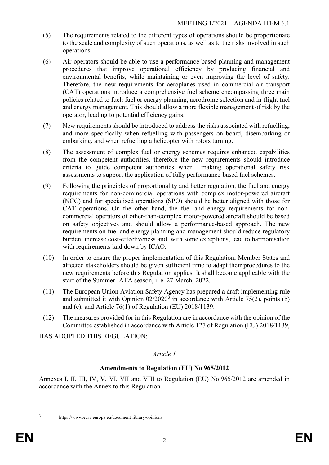- (5) The requirements related to the different types of operations should be proportionate to the scale and complexity of such operations, as well as to the risks involved in such operations.
- (6) Air operators should be able to use a performance-based planning and management procedures that improve operational efficiency by producing financial and environmental benefits, while maintaining or even improving the level of safety. Therefore, the new requirements for aeroplanes used in commercial air transport (CAT) operations introduce a comprehensive fuel scheme encompassing three main policies related to fuel: fuel or energy planning, aerodrome selection and in-flight fuel and energy management. This should allow a more flexible management of risk by the operator, leading to potential efficiency gains.
- (7) New requirements should be introduced to address the risks associated with refuelling, and more specifically when refuelling with passengers on board, disembarking or embarking, and when refuelling a helicopter with rotors turning.
- (8) The assessment of complex fuel or energy schemes requires enhanced capabilities from the competent authorities, therefore the new requirements should introduce criteria to guide competent authorities when making operational safety risk assessments to support the application of fully performance-based fuel schemes.
- (9) Following the principles of proportionality and better regulation, the fuel and energy requirements for non-commercial operations with complex motor-powered aircraft (NCC) and for specialised operations (SPO) should be better aligned with those for CAT operations. On the other hand, the fuel and energy requirements for noncommercial operators of other-than-complex motor-powered aircraft should be based on safety objectives and should allow a performance-based approach. The new requirements on fuel and energy planning and management should reduce regulatory burden, increase cost-effectiveness and, with some exceptions, lead to harmonisation with requirements laid down by ICAO.
- (10) In order to ensure the proper implementation of this Regulation, Member States and affected stakeholders should be given sufficient time to adapt their procedures to the new requirements before this Regulation applies. It shall become applicable with the start of the Summer IATA season, i. e. 27 March, 2022.
- (11) The European Union Aviation Safety Agency has prepared a draft implementing rule and submitted it with Opinion  $02/2020^3$  $02/2020^3$  in accordance with Article 75(2), points (b) and (c), and Article 76(1) of Regulation (EU) 2018/1139.
- (12) The measures provided for in this Regulation are in accordance with the opinion of the Committee established in accordance with Article 127 of Regulation (EU) 2018/1139,

HAS ADOPTED THIS REGULATION:

## *Article 1*

## **Amendments to Regulation (EU) No 965/2012**

Annexes I, II, III, IV, V, VI, VII and VIII to Regulation (EU) No 965/2012 are amended in accordance with the Annex to this Regulation.

<span id="page-2-0"></span>

<sup>3</sup> https://www.easa.europa.eu/document-library/opinions